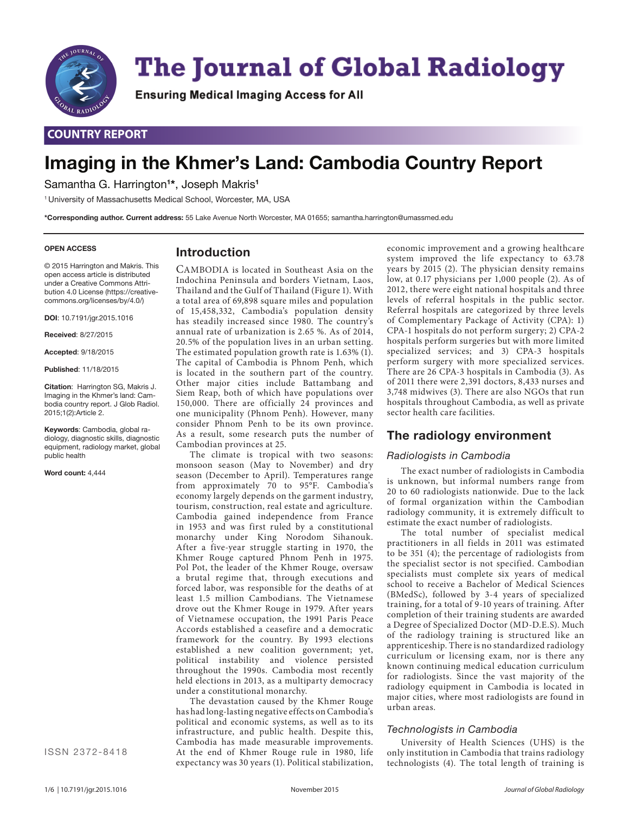

# **The Journal of Global Radiology**

Ensuring Medical Imaging Access for All

# **COUNTRY REPORT**

# **Imaging in the Khmer's Land: Cambodia Country Report**

Samantha G. Harrington**<sup>1</sup> \***, Joseph Makris**<sup>1</sup>**

1 University of Massachusetts Medical School, Worcester, MA, USA

**\*Corresponding author. Current address:** 55 Lake Avenue North Worcester, MA 01655; samantha.harrington@umassmed.edu

#### **OPEN ACCESS**

© 2015 Harrington and Makris. This open access article is distributed under a Creative Commons Attribution 4.0 License (https://creativecommons.org/licenses/by/4.0/)

**DOI**: 10.7191/jgr.2015.1016

**Received**: 8/27/2015

**Accepted**: 9/18/2015

**Published**: 11/18/2015

**Citation**: Harrington SG, Makris J. Imaging in the Khmer's land: Cambodia country report. J Glob Radiol. 2015;1(2):Article 2.

**Keywords**: Cambodia, global radiology, diagnostic skills, diagnostic equipment, radiology market, global public health

**Word count:** 4,444

ISSN 2372-8418

# **Introduction**

CAMBODIA is located in Southeast Asia on the Indochina Peninsula and borders Vietnam, Laos, Thailand and the Gulf of Thailand (Figure 1). With a total area of 69,898 square miles and population of 15,458,332, Cambodia's population density has steadily increased since 1980. The country's annual rate of urbanization is 2.65 %. As of 2014, 20.5% of the population lives in an urban setting. The estimated population growth rate is 1.63% (1). The capital of Cambodia is Phnom Penh, which is located in the southern part of the country. Other major cities include Battambang and Siem Reap, both of which have populations over 150,000. There are officially 24 provinces and one municipality (Phnom Penh). However, many consider Phnom Penh to be its own province. As a result, some research puts the number of Cambodian provinces at 25.

The climate is tropical with two seasons: monsoon season (May to November) and dry season (December to April). Temperatures range from approximately 70 to 95°F. Cambodia's economy largely depends on the garment industry, tourism, construction, real estate and agriculture. Cambodia gained independence from France in 1953 and was first ruled by a constitutional monarchy under King Norodom Sihanouk. After a five-year struggle starting in 1970, the Khmer Rouge captured Phnom Penh in 1975. Pol Pot, the leader of the Khmer Rouge, oversaw a brutal regime that, through executions and forced labor, was responsible for the deaths of at least 1.5 million Cambodians. The Vietnamese drove out the Khmer Rouge in 1979. After years of Vietnamese occupation, the 1991 Paris Peace Accords established a ceasefire and a democratic framework for the country. By 1993 elections established a new coalition government; yet, political instability and violence persisted throughout the 1990s. Cambodia most recently held elections in 2013, as a multiparty democracy under a constitutional monarchy.

The devastation caused by the Khmer Rouge has had long-lasting negative effects on Cambodia's political and economic systems, as well as to its infrastructure, and public health. Despite this, Cambodia has made measurable improvements. At the end of Khmer Rouge rule in 1980, life expectancy was 30 years (1). Political stabilization,

economic improvement and a growing healthcare system improved the life expectancy to 63.78 years by 2015 (2). The physician density remains low, at 0.17 physicians per 1,000 people (2). As of 2012, there were eight national hospitals and three levels of referral hospitals in the public sector. Referral hospitals are categorized by three levels of Complementary Package of Activity (CPA): 1) CPA-1 hospitals do not perform surgery; 2) CPA-2 hospitals perform surgeries but with more limited specialized services; and 3) CPA-3 hospitals perform surgery with more specialized services. There are 26 CPA-3 hospitals in Cambodia (3). As of 2011 there were 2,391 doctors, 8,433 nurses and 3,748 midwives (3). There are also NGOs that run hospitals throughout Cambodia, as well as private sector health care facilities.

## **The radiology environment**

#### *Radiologists in Cambodia*

The exact number of radiologists in Cambodia is unknown, but informal numbers range from 20 to 60 radiologists nationwide. Due to the lack of formal organization within the Cambodian radiology community, it is extremely difficult to estimate the exact number of radiologists.

The total number of specialist medical practitioners in all fields in  $2011$  was estimated to be 351 (4); the percentage of radiologists from the specialist sector is not specified. Cambodian specialists must complete six years of medical school to receive a Bachelor of Medical Sciences (BMedSc), followed by 3-4 years of specialized training, for a total of 9-10 years of training. After completion of their training students are awarded a Degree of Specialized Doctor (MD-D.E.S). Much of the radiology training is structured like an apprenticeship. There is no standardized radiology curriculum or licensing exam, nor is there any known continuing medical education curriculum for radiologists. Since the vast majority of the radiology equipment in Cambodia is located in major cities, where most radiologists are found in urban areas.

#### *Technologists in Cambodia*

University of Health Sciences (UHS) is the only institution in Cambodia that trains radiology technologists (4). The total length of training is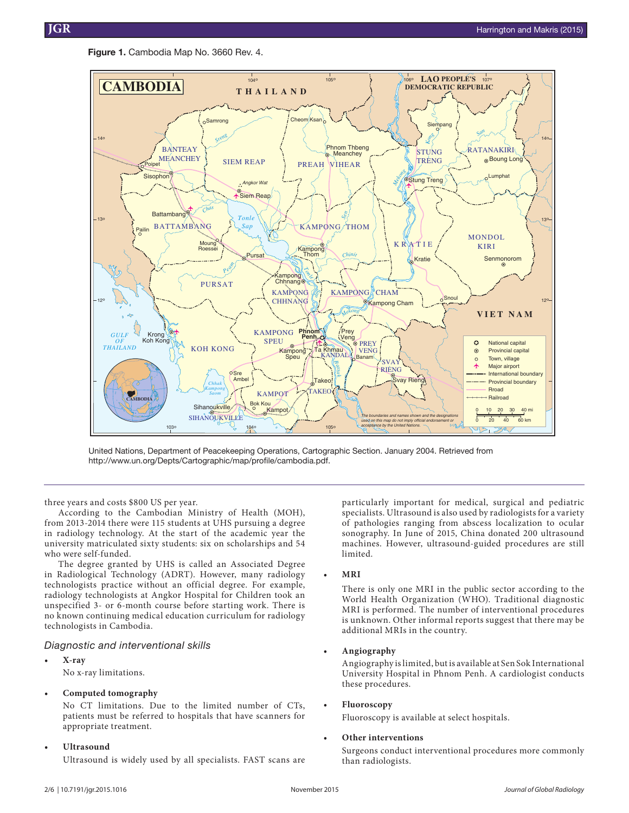**Figure 1.** Cambodia Map No. 3660 Rev. 4.



United Nations, Department of Peacekeeping Operations, Cartographic Section. January 2004. Retrieved from http://www.un.org/Depts/Cartographic/map/profile/cambodia.pdf.

three years and costs \$800 US per year.

According to the Cambodian Ministry of Health (MOH), from 2013-2014 there were 115 students at UHS pursuing a degree in radiology technology. At the start of the academic year the university matriculated sixty students: six on scholarships and 54 who were self-funded.

The degree granted by UHS is called an Associated Degree in Radiological Technology (ADRT). However, many radiology technologists practice without an official degree. For example, radiology technologists at Angkor Hospital for Children took an unspecified 3- or 6-month course before starting work. There is no known continuing medical education curriculum for radiology technologists in Cambodia.

#### *Diagnostic and interventional skills*

- **• X-ray**
	- No x-ray limitations.

#### **• Computed tomography**

No CT limitations. Due to the limited number of CTs, patients must be referred to hospitals that have scanners for appropriate treatment.

**• Ultrasound**

Ultrasound is widely used by all specialists. FAST scans are

particularly important for medical, surgical and pediatric specialists. Ultrasound is also used by radiologists for a variety of pathologies ranging from abscess localization to ocular sonography. In June of 2015, China donated 200 ultrasound machines. However, ultrasound-guided procedures are still limited.

**• MRI**

There is only one MRI in the public sector according to the World Health Organization (WHO). Traditional diagnostic MRI is performed. The number of interventional procedures is unknown. Other informal reports suggest that there may be additional MRIs in the country.

#### **• Angiography**

Angiography is limited, but is available at Sen Sok International University Hospital in Phnom Penh. A cardiologist conducts these procedures.

#### **• Fluoroscopy**

Fluoroscopy is available at select hospitals.

#### **• Other interventions**

Surgeons conduct interventional procedures more commonly than radiologists.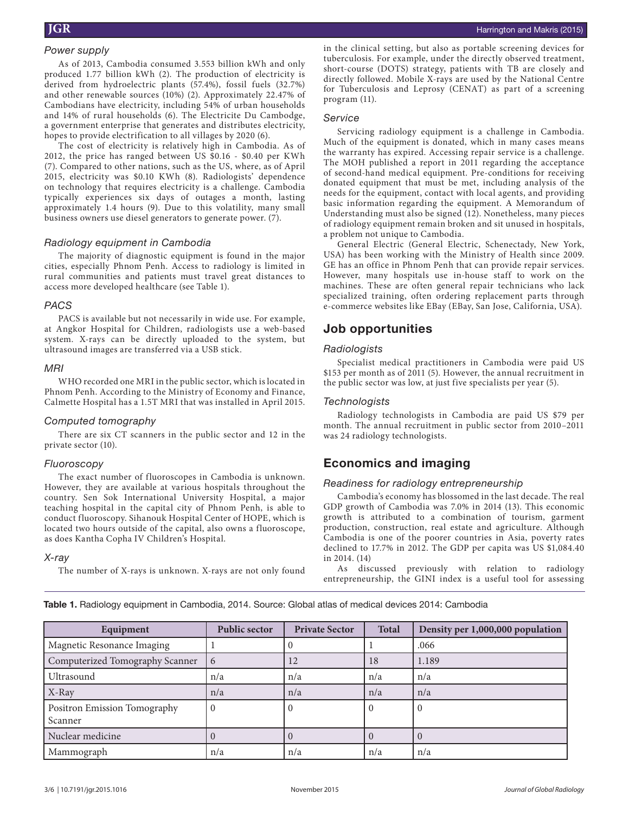#### *Power supply*

As of 2013, Cambodia consumed 3.553 billion kWh and only produced 1.77 billion kWh (2). The production of electricity is derived from hydroelectric plants (57.4%), fossil fuels (32.7%) and other renewable sources (10%) (2). Approximately 22.47% of Cambodians have electricity, including 54% of urban households and 14% of rural households (6). The Electricite Du Cambodge, a government enterprise that generates and distributes electricity, hopes to provide electrification to all villages by 2020 (6).

The cost of electricity is relatively high in Cambodia. As of 2012, the price has ranged between US \$0.16 - \$0.40 per KWh (7). Compared to other nations, such as the US, where, as of April 2015, electricity was \$0.10 KWh (8). Radiologists' dependence on technology that requires electricity is a challenge. Cambodia typically experiences six days of outages a month, lasting approximately 1.4 hours (9). Due to this volatility, many small business owners use diesel generators to generate power. (7).

#### *Radiology equipment in Cambodia*

The majority of diagnostic equipment is found in the major cities, especially Phnom Penh. Access to radiology is limited in rural communities and patients must travel great distances to access more developed healthcare (see Table 1).

#### *PACS*

PACS is available but not necessarily in wide use. For example, at Angkor Hospital for Children, radiologists use a web-based system. X-rays can be directly uploaded to the system, but ultrasound images are transferred via a USB stick.

#### *MRI*

WHO recorded one MRI in the public sector, which is located in Phnom Penh. According to the Ministry of Economy and Finance, Calmette Hospital has a 1.5T MRI that was installed in April 2015.

#### *Computed tomography*

There are six CT scanners in the public sector and 12 in the private sector (10).

#### *Fluoroscopy*

The exact number of fluoroscopes in Cambodia is unknown. However, they are available at various hospitals throughout the country. Sen Sok International University Hospital, a major teaching hospital in the capital city of Phnom Penh, is able to conduct fluoroscopy. Sihanouk Hospital Center of HOPE, which is located two hours outside of the capital, also owns a fluoroscope, as does Kantha Copha IV Children's Hospital.

#### *X-ray*

The number of X-rays is unknown. X-rays are not only found

in the clinical setting, but also as portable screening devices for tuberculosis. For example, under the directly observed treatment, short-course (DOTS) strategy, patients with TB are closely and directly followed. Mobile X-rays are used by the National Centre for Tuberculosis and Leprosy (CENAT) as part of a screening program (11).

#### *Service*

Servicing radiology equipment is a challenge in Cambodia. Much of the equipment is donated, which in many cases means the warranty has expired. Accessing repair service is a challenge. The MOH published a report in 2011 regarding the acceptance of second-hand medical equipment. Pre-conditions for receiving donated equipment that must be met, including analysis of the needs for the equipment, contact with local agents, and providing basic information regarding the equipment. A Memorandum of Understanding must also be signed (12). Nonetheless, many pieces of radiology equipment remain broken and sit unused in hospitals, a problem not unique to Cambodia.

General Electric (General Electric, Schenectady, New York, USA) has been working with the Ministry of Health since 2009. GE has an office in Phnom Penh that can provide repair services. However, many hospitals use in-house staff to work on the machines. These are often general repair technicians who lack specialized training, often ordering replacement parts through e-commerce websites like EBay (EBay, San Jose, California, USA).

# **Job opportunities**

#### *Radiologists*

Specialist medical practitioners in Cambodia were paid US \$153 per month as of 2011 (5). However, the annual recruitment in the public sector was low, at just five specialists per year (5).

#### *Technologists*

Radiology technologists in Cambodia are paid US \$79 per month. The annual recruitment in public sector from 2010–2011 was 24 radiology technologists.

# **Economics and imaging**

#### *Readiness for radiology entrepreneurship*

Cambodia's economy has blossomed in the last decade. The real GDP growth of Cambodia was 7.0% in 2014 (13). This economic growth is attributed to a combination of tourism, garment production, construction, real estate and agriculture. Although Cambodia is one of the poorer countries in Asia, poverty rates declined to 17.7% in 2012. The GDP per capita was US \$1,084.40 in 2014. (14)

As discussed previously with relation to radiology entrepreneurship, the GINI index is a useful tool for assessing

**Table 1.** Radiology equipment in Cambodia, 2014. Source: Global atlas of medical devices 2014: Cambodia

| Equipment                               | <b>Public sector</b> | <b>Private Sector</b> | <b>Total</b> | Density per 1,000,000 population |
|-----------------------------------------|----------------------|-----------------------|--------------|----------------------------------|
| Magnetic Resonance Imaging              |                      |                       |              | .066                             |
| Computerized Tomography Scanner         | 6                    | 12                    | 18           | 1.189                            |
| Ultrasound                              | n/a                  | n/a                   | n/a          | n/a                              |
| X-Ray                                   | n/a                  | n/a                   | n/a          | n/a                              |
| Positron Emission Tomography<br>Scanner | U                    |                       |              |                                  |
| Nuclear medicine                        |                      |                       |              |                                  |
| Mammograph                              | n/a                  | n/a                   | n/a          | n/a                              |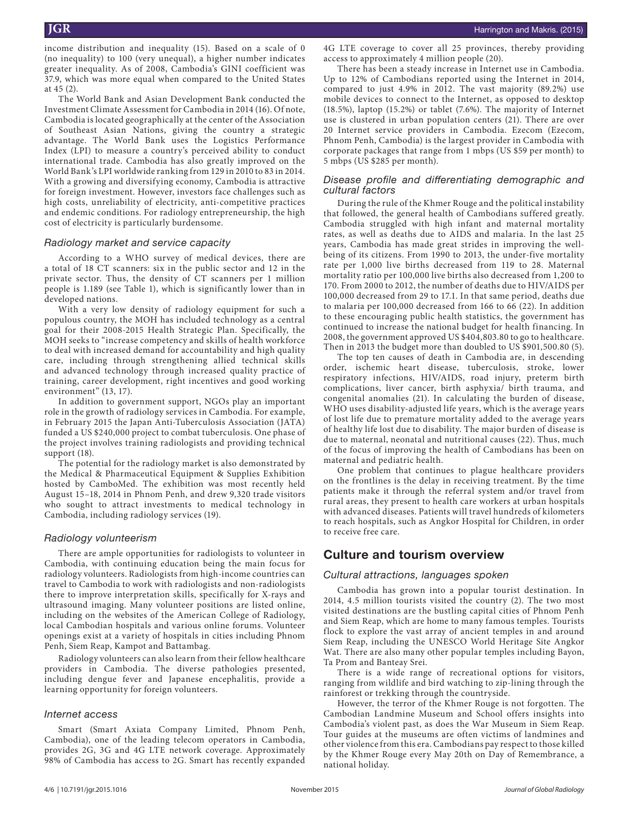income distribution and inequality (15). Based on a scale of 0 (no inequality) to 100 (very unequal), a higher number indicates greater inequality. As of 2008, Cambodia's GINI coefficient was 37.9, which was more equal when compared to the United States at 45 (2).

The World Bank and Asian Development Bank conducted the Investment Climate Assessment for Cambodia in 2014 (16). Of note, Cambodia is located geographically at the center of the Association of Southeast Asian Nations, giving the country a strategic advantage. The World Bank uses the Logistics Performance Index (LPI) to measure a country's perceived ability to conduct international trade. Cambodia has also greatly improved on the World Bank's LPI worldwide ranking from 129 in 2010 to 83 in 2014. With a growing and diversifying economy, Cambodia is attractive for foreign investment. However, investors face challenges such as high costs, unreliability of electricity, anti-competitive practices and endemic conditions. For radiology entrepreneurship, the high cost of electricity is particularly burdensome.

#### *Radiology market and service capacity*

According to a WHO survey of medical devices, there are a total of 18 CT scanners: six in the public sector and 12 in the private sector. Thus, the density of CT scanners per 1 million people is 1.189 (see Table 1), which is significantly lower than in developed nations.

With a very low density of radiology equipment for such a populous country, the MOH has included technology as a central goal for their 2008-2015 Health Strategic Plan. Specifically, the MOH seeks to "increase competency and skills of health workforce to deal with increased demand for accountability and high quality care, including through strengthening allied technical skills and advanced technology through increased quality practice of training, career development, right incentives and good working environment" (13, 17).

In addition to government support, NGOs play an important role in the growth of radiology services in Cambodia. For example, in February 2015 the Japan Anti-Tuberculosis Association (JATA) funded a US \$240,000 project to combat tuberculosis. One phase of the project involves training radiologists and providing technical support (18).

The potential for the radiology market is also demonstrated by the Medical & Pharmaceutical Equipment & Supplies Exhibition hosted by CamboMed. The exhibition was most recently held August 15–18, 2014 in Phnom Penh, and drew 9,320 trade visitors who sought to attract investments to medical technology in Cambodia, including radiology services (19).

#### *Radiology volunteerism*

There are ample opportunities for radiologists to volunteer in Cambodia, with continuing education being the main focus for radiology volunteers. Radiologists from high-income countries can travel to Cambodia to work with radiologists and non-radiologists there to improve interpretation skills, specifically for X-rays and ultrasound imaging. Many volunteer positions are listed online, including on the websites of the American College of Radiology, local Cambodian hospitals and various online forums. Volunteer openings exist at a variety of hospitals in cities including Phnom Penh, Siem Reap, Kampot and Battambag.

Radiology volunteers can also learn from their fellow healthcare providers in Cambodia. The diverse pathologies presented, including dengue fever and Japanese encephalitis, provide a learning opportunity for foreign volunteers.

#### *Internet access*

Smart (Smart Axiata Company Limited, Phnom Penh, Cambodia), one of the leading telecom operators in Cambodia, provides 2G, 3G and 4G LTE network coverage. Approximately 98% of Cambodia has access to 2G. Smart has recently expanded

4G LTE coverage to cover all 25 provinces, thereby providing access to approximately 4 million people (20).

There has been a steady increase in Internet use in Cambodia. Up to 12% of Cambodians reported using the Internet in 2014, compared to just 4.9% in 2012. The vast majority (89.2%) use mobile devices to connect to the Internet, as opposed to desktop (18.5%), laptop (15.2%) or tablet (7.6%). The majority of Internet use is clustered in urban population centers (21). There are over 20 Internet service providers in Cambodia. Ezecom (Ezecom, Phnom Penh, Cambodia) is the largest provider in Cambodia with corporate packages that range from 1 mbps (US \$59 per month) to 5 mbps (US \$285 per month).

#### *Disease profile and differentiating demographic and cultural factors*

During the rule of the Khmer Rouge and the political instability that followed, the general health of Cambodians suffered greatly. Cambodia struggled with high infant and maternal mortality rates, as well as deaths due to AIDS and malaria. In the last 25 years, Cambodia has made great strides in improving the wellbeing of its citizens. From 1990 to 2013, the under-five mortality rate per 1,000 live births decreased from 119 to 28. Maternal mortality ratio per 100,000 live births also decreased from 1,200 to 170. From 2000 to 2012, the number of deaths due to HIV/AIDS per 100,000 decreased from 29 to 17.1. In that same period, deaths due to malaria per 100,000 decreased from 166 to 66 (22). In addition to these encouraging public health statistics, the government has continued to increase the national budget for health financing. In 2008, the government approved US \$404,803.80 to go to healthcare. Then in 2013 the budget more than doubled to US \$901,500.80 (5).

The top ten causes of death in Cambodia are, in descending order, ischemic heart disease, tuberculosis, stroke, lower respiratory infections, HIV/AIDS, road injury, preterm birth complications, liver cancer, birth asphyxia/ birth trauma, and congenital anomalies (21). In calculating the burden of disease, WHO uses disability-adjusted life years, which is the average years of lost life due to premature mortality added to the average years of healthy life lost due to disability. The major burden of disease is due to maternal, neonatal and nutritional causes (22). Thus, much of the focus of improving the health of Cambodians has been on maternal and pediatric health.

One problem that continues to plague healthcare providers on the frontlines is the delay in receiving treatment. By the time patients make it through the referral system and/or travel from rural areas, they present to health care workers at urban hospitals with advanced diseases. Patients will travel hundreds of kilometers to reach hospitals, such as Angkor Hospital for Children, in order to receive free care.

# **Culture and tourism overview**

#### *Cultural attractions, languages spoken*

Cambodia has grown into a popular tourist destination. In 2014, 4.5 million tourists visited the country (2). The two most visited destinations are the bustling capital cities of Phnom Penh and Siem Reap, which are home to many famous temples. Tourists flock to explore the vast array of ancient temples in and around Siem Reap, including the UNESCO World Heritage Site Angkor Wat. There are also many other popular temples including Bayon, Ta Prom and Banteay Srei.

There is a wide range of recreational options for visitors, ranging from wildlife and bird watching to zip-lining through the rainforest or trekking through the countryside.

However, the terror of the Khmer Rouge is not forgotten. The Cambodian Landmine Museum and School offers insights into Cambodia's violent past, as does the War Museum in Siem Reap. Tour guides at the museums are often victims of landmines and other violence from this era. Cambodians pay respect to those killed by the Khmer Rouge every May 20th on Day of Remembrance, a national holiday.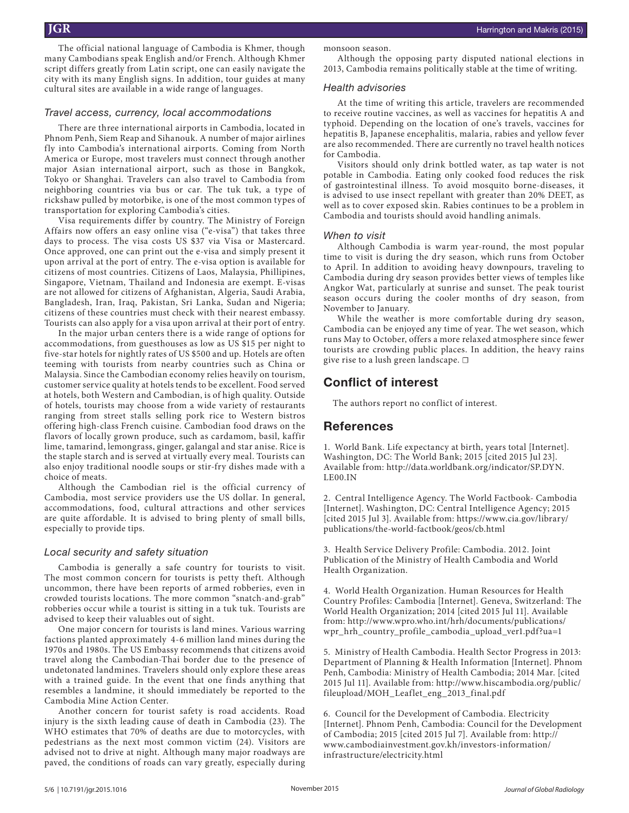The official national language of Cambodia is Khmer, though many Cambodians speak English and/or French. Although Khmer script differs greatly from Latin script, one can easily navigate the city with its many English signs. In addition, tour guides at many cultural sites are available in a wide range of languages.

#### *Travel access, currency, local accommodations*

There are three international airports in Cambodia, located in Phnom Penh, Siem Reap and Sihanouk. A number of major airlines fly into Cambodia's international airports. Coming from North America or Europe, most travelers must connect through another major Asian international airport, such as those in Bangkok, Tokyo or Shanghai. Travelers can also travel to Cambodia from neighboring countries via bus or car. The tuk tuk, a type of rickshaw pulled by motorbike, is one of the most common types of transportation for exploring Cambodia's cities.

Visa requirements differ by country. The Ministry of Foreign Affairs now offers an easy online visa ("e-visa") that takes three days to process. The visa costs US \$37 via Visa or Mastercard. Once approved, one can print out the e-visa and simply present it upon arrival at the port of entry. The e-visa option is available for citizens of most countries. Citizens of Laos, Malaysia, Phillipines, Singapore, Vietnam, Thailand and Indonesia are exempt. E-visas are not allowed for citizens of Afghanistan, Algeria, Saudi Arabia, Bangladesh, Iran, Iraq, Pakistan, Sri Lanka, Sudan and Nigeria; citizens of these countries must check with their nearest embassy. Tourists can also apply for a visa upon arrival at their port of entry.

In the major urban centers there is a wide range of options for accommodations, from guesthouses as low as US \$15 per night to five-star hotels for nightly rates of US \$500 and up. Hotels are often teeming with tourists from nearby countries such as China or Malaysia. Since the Cambodian economy relies heavily on tourism, customer service quality at hotels tends to be excellent. Food served at hotels, both Western and Cambodian, is of high quality. Outside of hotels, tourists may choose from a wide variety of restaurants ranging from street stalls selling pork rice to Western bistros offering high-class French cuisine. Cambodian food draws on the flavors of locally grown produce, such as cardamom, basil, kaffir lime, tamarind, lemongrass, ginger, galangal and star anise. Rice is the staple starch and is served at virtually every meal. Tourists can also enjoy traditional noodle soups or stir-fry dishes made with a choice of meats.

Although the Cambodian riel is the official currency of Cambodia, most service providers use the US dollar. In general, accommodations, food, cultural attractions and other services are quite affordable. It is advised to bring plenty of small bills, especially to provide tips.

#### *Local security and safety situation*

Cambodia is generally a safe country for tourists to visit. The most common concern for tourists is petty theft. Although uncommon, there have been reports of armed robberies, even in crowded tourists locations. The more common "snatch-and-grab" robberies occur while a tourist is sitting in a tuk tuk. Tourists are advised to keep their valuables out of sight.

One major concern for tourists is land mines. Various warring factions planted approximately 4-6 million land mines during the 1970s and 1980s. The US Embassy recommends that citizens avoid travel along the Cambodian-Thai border due to the presence of undetonated landmines. Travelers should only explore these areas with a trained guide. In the event that one finds anything that resembles a landmine, it should immediately be reported to the Cambodia Mine Action Center.

Another concern for tourist safety is road accidents. Road injury is the sixth leading cause of death in Cambodia (23). The WHO estimates that 70% of deaths are due to motorcycles, with pedestrians as the next most common victim (24). Visitors are advised not to drive at night. Although many major roadways are paved, the conditions of roads can vary greatly, especially during monsoon season.

Although the opposing party disputed national elections in 2013, Cambodia remains politically stable at the time of writing.

#### *Health advisories*

At the time of writing this article, travelers are recommended to receive routine vaccines, as well as vaccines for hepatitis A and typhoid. Depending on the location of one's travels, vaccines for hepatitis B, Japanese encephalitis, malaria, rabies and yellow fever are also recommended. There are currently no travel health notices for Cambodia.

Visitors should only drink bottled water, as tap water is not potable in Cambodia. Eating only cooked food reduces the risk of gastrointestinal illness. To avoid mosquito borne-diseases, it is advised to use insect repellant with greater than 20% DEET, as well as to cover exposed skin. Rabies continues to be a problem in Cambodia and tourists should avoid handling animals.

#### *When to visit*

Although Cambodia is warm year-round, the most popular time to visit is during the dry season, which runs from October to April. In addition to avoiding heavy downpours, traveling to Cambodia during dry season provides better views of temples like Angkor Wat, particularly at sunrise and sunset. The peak tourist season occurs during the cooler months of dry season, from November to January.

While the weather is more comfortable during dry season, Cambodia can be enjoyed any time of year. The wet season, which runs May to October, offers a more relaxed atmosphere since fewer tourists are crowding public places. In addition, the heavy rains give rise to a lush green landscape. □

# **Conflict of interest**

The authors report no conflict of interest.

## **References**

1. World Bank. Life expectancy at birth, years total [Internet]. Washington, DC: The World Bank; 2015 [cited 2015 Jul 23]. Available from: http://data.worldbank.org/indicator/SP.DYN. LE00.IN

2. Central Intelligence Agency. The World Factbook- Cambodia [Internet]. Washington, DC: Central Intelligence Agency; 2015 [cited 2015 Jul 3]. Available from: https://www.cia.gov/library/ publications/the-world-factbook/geos/cb.html

3. Health Service Delivery Profile: Cambodia. 2012. Joint Publication of the Ministry of Health Cambodia and World Health Organization.

4. World Health Organization. Human Resources for Health Country Profiles: Cambodia [Internet]. Geneva, Switzerland: The World Health Organization; 2014 [cited 2015 Jul 11]. Available from: http://www.wpro.who.int/hrh/documents/publications/ wpr\_hrh\_country\_profile\_cambodia\_upload\_ver1.pdf?ua=1

5. Ministry of Health Cambodia. Health Sector Progress in 2013: Department of Planning & Health Information [Internet]. Phnom Penh, Cambodia: Ministry of Health Cambodia; 2014 Mar. [cited 2015 Jul 11]. Available from: http://www.hiscambodia.org/public/ fileupload/MOH\_Leaflet\_eng\_2013\_final.pdf

6. Council for the Development of Cambodia. Electricity [Internet]. Phnom Penh, Cambodia: Council for the Development of Cambodia; 2015 [cited 2015 Jul 7]. Available from: http:// www.cambodiainvestment.gov.kh/investors-information/ infrastructure/electricity.html